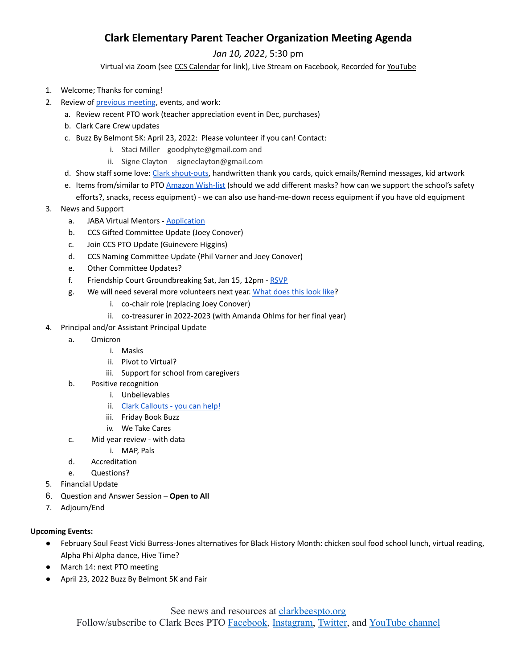## **Clark Elementary Parent Teacher Organization Meeting Agenda**

*Jan 10, 2022*, 5:30 pm

Virtual via Zoom (see CCS [Calendar](http://charlottesvilleschools.org/calendar/) for link), Live Stream on Facebook, Recorded for [YouTube](https://www.youtube.com/channel/UCYKgW2F4gHVYOJ-igHvrp9g/)

- 1. Welcome; Thanks for coming!
- 2. Review of [previous](https://72069fcb-fa6f-46d9-8364-cf3fb644b396.filesusr.com/ugd/13a865_0979e57471b9455d88574d9df00378c9.pdf) meeting, events, and work:
	- a. Review recent PTO work (teacher appreciation event in Dec, purchases)
	- b. Clark Care Crew updates
	- c. Buzz By Belmont 5K: April 23, 2022: Please volunteer if you can! Contact:
		- i. Staci Miller goodphyte@gmail.com and
		- ii. Signe Clayton signeclayton@gmail.com
	- d. Show staff some love: Clark [shout-outs](https://docs.google.com/forms/d/e/1FAIpQLSe34LYTUPev5Gp-s4BUlPZwVvT4_BSY77HDH94PCTFTOT3RBw/viewform), handwritten thank you cards, quick emails/Remind messages, kid artwork
	- e. Items from/similar to PTO Amazon [Wish-list](https://a.co/7KR7Fm5) (should we add different masks? how can we support the school's safety

efforts?, snacks, recess equipment) - we can also use hand-me-down recess equipment if you have old equipment 3. News and Support

- - a. JABA Virtual Mentors [Application](https://form.jotform.com/lprobst/application-requesting-fish-mentor?fbclid=IwAR1v66kh5B3sMmtnnTmqVNnDGc-IK-ygIXkLqIA5dPOV_5MFPg4NhTU1lfQ)
	- b. CCS Gifted Committee Update (Joey Conover)
	- c. Join CCS PTO Update (Guinevere Higgins)
	- d. CCS Naming Committee Update (Phil Varner and Joey Conover)
	- e. Other Committee Updates?
	- f. Friendship Court Groundbreaking Sat, Jan 15, 12pm [RSVP](https://secure.lglforms.com/form_engine/s/BKeDg2ngtGzujd1DOfOazA)
	- g. We will need several more volunteers next year. [What](https://www.clarkbeespto.org/who-we-are) does this look like?
		- i. co-chair role (replacing Joey Conover)
		- ii. co-treasurer in 2022-2023 (with Amanda Ohlms for her final year)
- 4. Principal and/or Assistant Principal Update
	- a. Omicron
		- i. Masks
		- ii. Pivot to Virtual?
		- iii. Support for school from caregivers
	- b. Positive recognition
		- i. Unbelievables
		- ii. Clark [Callouts](https://forms.gle/nTsh1vbUBSnur5U79) you can help!
		- iii. Friday Book Buzz
		- iv. We Take Cares
	- c. Mid year review with data
		- i. MAP, Pals
	- d. Accreditation
	- e. Questions?
- 5. Financial Update
- 6. Question and Answer Session **Open to All**
- 7. Adjourn/End

## **Upcoming Events:**

- February Soul Feast Vicki Burress-Jones alternatives for Black History Month: chicken soul food school lunch, virtual reading, Alpha Phi Alpha dance, Hive Time?
- March 14: next PTO meeting
- April 23, 2022 Buzz By Belmont 5K and Fair

See news and resources at clarkbeespto.org Follow/subscribe to Clark Bees PTO [Facebook,](https://www.facebook.com/groups/ClarkBeesPTO/) [Instagram,](https://www.instagram.com/clarkbeespto/) [Twitter](https://twitter.com/ClarkBeesPTO), and [YouTube channel](https://www.youtube.com/channel/UCYKgW2F4gHVYOJ-igHvrp9g)